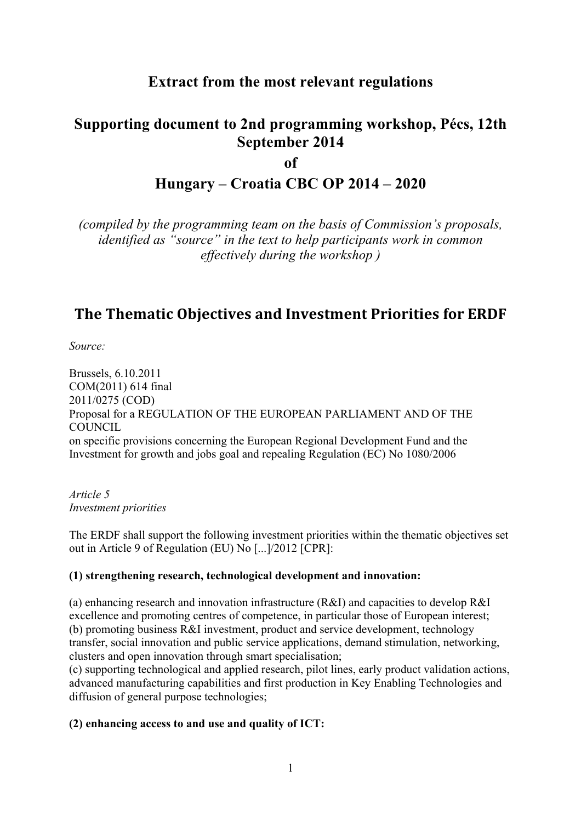### **Extract from the most relevant regulations**

# **Supporting document to 2nd programming workshop, Pécs, 12th September 2014**

**of**

### **Hungary – Croatia CBC OP 2014 – 2020**

*(compiled by the programming team on the basis of Commission's proposals, identified as "source" in the text to help participants work in common effectively during the workshop )*

## **The\$Thematic\$Objectives\$and\$Investment\$Priorities for\$ERDF**

*Source:* 

Brussels, 6.10.2011 COM(2011) 614 final 2011/0275 (COD) Proposal for a REGULATION OF THE EUROPEAN PARLIAMENT AND OF THE COUNCIL on specific provisions concerning the European Regional Development Fund and the Investment for growth and jobs goal and repealing Regulation (EC) No 1080/2006

*Article 5 Investment priorities* 

The ERDF shall support the following investment priorities within the thematic objectives set out in Article 9 of Regulation (EU) No [...]/2012 [CPR]:

### **(1) strengthening research, technological development and innovation:**

(a) enhancing research and innovation infrastructure (R&I) and capacities to develop R&I excellence and promoting centres of competence, in particular those of European interest; (b) promoting business R&I investment, product and service development, technology transfer, social innovation and public service applications, demand stimulation, networking, clusters and open innovation through smart specialisation;

(c) supporting technological and applied research, pilot lines, early product validation actions, advanced manufacturing capabilities and first production in Key Enabling Technologies and diffusion of general purpose technologies;

### **(2) enhancing access to and use and quality of ICT:**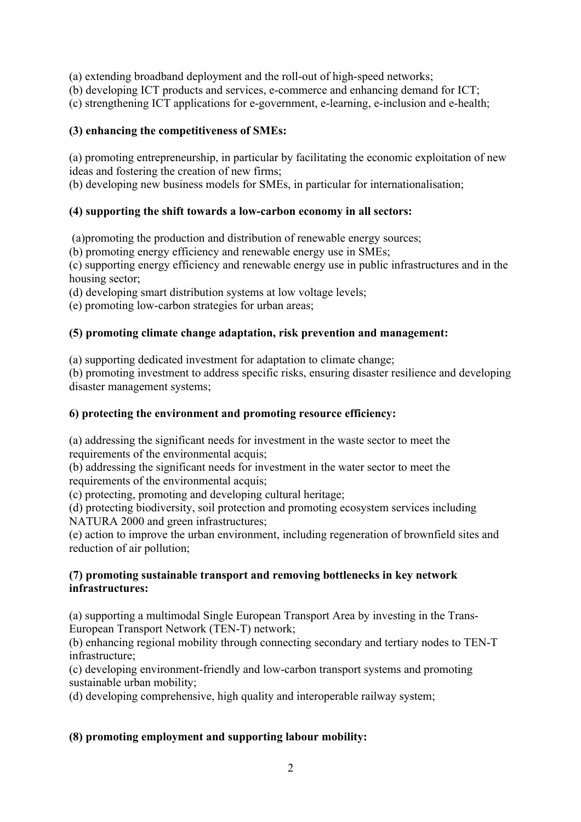(a) extending broadband deployment and the roll-out of high-speed networks;

(b) developing ICT products and services, e-commerce and enhancing demand for ICT;

(c) strengthening ICT applications for e-government, e-learning, e-inclusion and e-health;

#### **(3) enhancing the competitiveness of SMEs:**

(a) promoting entrepreneurship, in particular by facilitating the economic exploitation of new ideas and fostering the creation of new firms;

(b) developing new business models for SMEs, in particular for internationalisation;

#### **(4) supporting the shift towards a low-carbon economy in all sectors:**

(a)promoting the production and distribution of renewable energy sources;

(b) promoting energy efficiency and renewable energy use in SMEs;

(c) supporting energy efficiency and renewable energy use in public infrastructures and in the housing sector;

(d) developing smart distribution systems at low voltage levels;

(e) promoting low-carbon strategies for urban areas;

#### **(5) promoting climate change adaptation, risk prevention and management:**

(a) supporting dedicated investment for adaptation to climate change;

(b) promoting investment to address specific risks, ensuring disaster resilience and developing disaster management systems;

#### **6) protecting the environment and promoting resource efficiency:**

(a) addressing the significant needs for investment in the waste sector to meet the requirements of the environmental acquis;

(b) addressing the significant needs for investment in the water sector to meet the requirements of the environmental acquis;

(c) protecting, promoting and developing cultural heritage;

(d) protecting biodiversity, soil protection and promoting ecosystem services including NATURA 2000 and green infrastructures;

(e) action to improve the urban environment, including regeneration of brownfield sites and reduction of air pollution;

#### **(7) promoting sustainable transport and removing bottlenecks in key network infrastructures:**

(a) supporting a multimodal Single European Transport Area by investing in the Trans-European Transport Network (TEN-T) network;

(b) enhancing regional mobility through connecting secondary and tertiary nodes to TEN-T infrastructure;

(c) developing environment-friendly and low-carbon transport systems and promoting sustainable urban mobility;

(d) developing comprehensive, high quality and interoperable railway system;

#### **(8) promoting employment and supporting labour mobility:**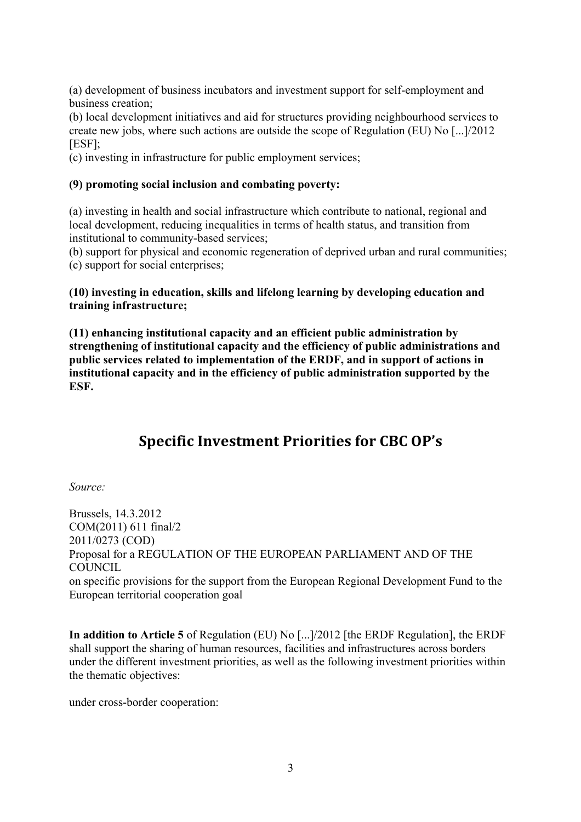(a) development of business incubators and investment support for self-employment and business creation;

(b) local development initiatives and aid for structures providing neighbourhood services to create new jobs, where such actions are outside the scope of Regulation (EU) No [...]/2012 [ESF];

(c) investing in infrastructure for public employment services;

#### **(9) promoting social inclusion and combating poverty:**

(a) investing in health and social infrastructure which contribute to national, regional and local development, reducing inequalities in terms of health status, and transition from institutional to community-based services;

(b) support for physical and economic regeneration of deprived urban and rural communities; (c) support for social enterprises;

#### **(10) investing in education, skills and lifelong learning by developing education and training infrastructure;**

**(11) enhancing institutional capacity and an efficient public administration by strengthening of institutional capacity and the efficiency of public administrations and public services related to implementation of the ERDF, and in support of actions in institutional capacity and in the efficiency of public administration supported by the ESF.** 

# **Specific Investment Priorities for CBC OP's**

*Source:* 

Brussels, 14.3.2012 COM(2011) 611 final/2 2011/0273 (COD) Proposal for a REGULATION OF THE EUROPEAN PARLIAMENT AND OF THE **COUNCIL** on specific provisions for the support from the European Regional Development Fund to the European territorial cooperation goal

**In addition to Article 5** of Regulation (EU) No [...]/2012 [the ERDF Regulation], the ERDF shall support the sharing of human resources, facilities and infrastructures across borders under the different investment priorities, as well as the following investment priorities within the thematic objectives:

under cross-border cooperation: